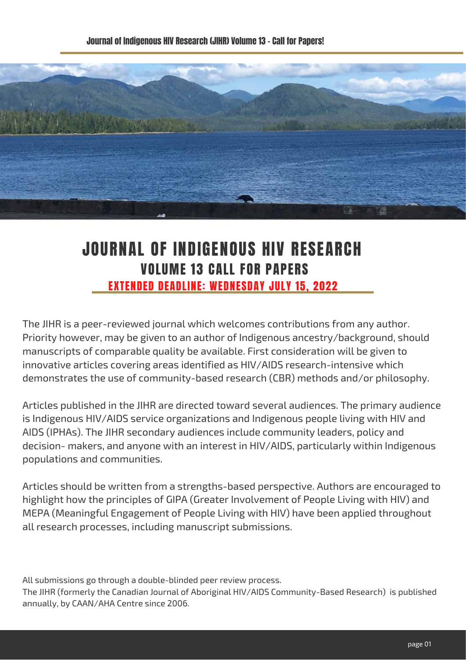

## JOURNAL OF INDIGENOUS HIV RESEARCH VOLUME 13 CALL FOR PAPERS EXTENDED DEADLINE: WEDNESDAY JULY 15, 2022

The JIHR is a peer-reviewed journal which welcomes contributions from any author. Priority however, may be given to an author of Indigenous ancestry/background, should manuscripts of comparable quality be available. First consideration will be given to innovative articles covering areas identified as HIV/AIDS research-intensive which demonstrates the use of community-based research (CBR) methods and/or philosophy.

Articles published in the JIHR are directed toward several audiences. The primary audience is Indigenous HIV/AIDS service organizations and Indigenous people living with HIV and AIDS (IPHAs). The JIHR secondary audiences include community leaders, policy and decision- makers, and anyone with an interest in HIV/AIDS, particularly within Indigenous populations and communities.

Articles should be written from a strengths-based perspective. Authors are encouraged to highlight how the principles of GIPA (Greater Involvement of People Living with HIV) and MEPA (Meaningful Engagement of People Living with HIV) have been applied throughout all research processes, including manuscript submissions.

All submissions go through a double-blinded peer review process.

The JIHR (formerly the Canadian Journal of Aboriginal HIV/AIDS Community-Based Research) is published annually, by CAAN/AHA Centre since 2006.